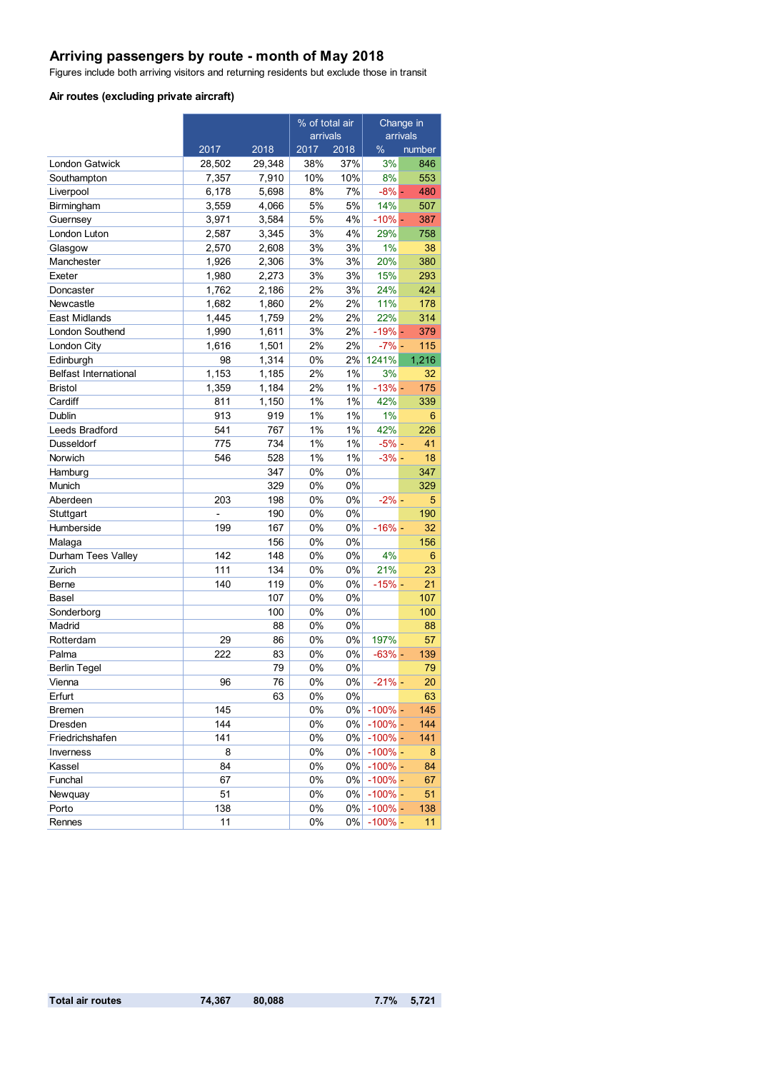## **Arriving passengers by route - month of May 2018**

Figures include both arriving visitors and returning residents but exclude those in transit

#### **Air routes (excluding private aircraft)**

|                              |        |        | % of total air |       | Change in  |        |
|------------------------------|--------|--------|----------------|-------|------------|--------|
|                              |        |        | arrivals       |       | arrivals   |        |
|                              | 2017   | 2018   | 2017           | 2018  | %          | number |
| <b>London Gatwick</b>        | 28,502 | 29,348 | 38%            | 37%   | 3%         | 846    |
| Southampton                  | 7,357  | 7,910  | 10%            | 10%   | 8%         | 553    |
| Liverpool                    | 6,178  | 5,698  | 8%             | 7%    | $-8% -$    | 480    |
| Birmingham                   | 3,559  | 4,066  | 5%             | 5%    | 14%        | 507    |
| Guernsey                     | 3,971  | 3,584  | 5%             | 4%    | $-10% -$   | 387    |
| London Luton                 | 2,587  | 3,345  | 3%             | 4%    | 29%        | 758    |
| Glasgow                      | 2,570  | 2,608  | 3%             | 3%    | 1%         | 38     |
| Manchester                   | 1,926  | 2,306  | 3%             | 3%    | 20%        | 380    |
| Exeter                       | 1,980  | 2,273  | 3%             | 3%    | 15%        | 293    |
| Doncaster                    | 1,762  | 2,186  | 2%             | 3%    | 24%        | 424    |
| Newcastle                    | 1,682  | 1,860  | 2%             | 2%    | 11%        | 178    |
| East Midlands                | 1,445  | 1,759  | 2%             | 2%    | 22%        | 314    |
| London Southend              | 1,990  | 1,611  | 3%             | 2%    | $-19% -$   | 379    |
| London City                  | 1,616  | 1,501  | 2%             | 2%    | $-7% -$    | 115    |
| Edinburgh                    | 98     | 1,314  | 0%             | 2%    | 1241%      | 1,216  |
| <b>Belfast International</b> | 1,153  | 1,185  | 2%             | $1\%$ | 3%         | 32     |
| <b>Bristol</b>               | 1,359  | 1,184  | 2%             | 1%    | $-13%$ -   | 175    |
| Cardiff                      | 811    | 1,150  | 1%             | 1%    | 42%        | 339    |
| Dublin                       | 913    | 919    | 1%             | $1\%$ | 1%         | 6      |
| Leeds Bradford               | 541    | 767    | 1%             | 1%    | 42%        | 226    |
| Dusseldorf                   | 775    | 734    | 1%             | 1%    | $-5% -$    | 41     |
| Norwich                      | 546    | 528    | 1%             | 1%    | $-3% -$    | 18     |
| Hamburg                      |        | 347    | 0%             | 0%    |            | 347    |
| Munich                       |        | 329    | 0%             | 0%    |            | 329    |
| Aberdeen                     | 203    | 198    | 0%             | 0%    | $-2\%$ -   | 5      |
| Stuttgart                    |        | 190    | 0%             | 0%    |            | 190    |
| Humberside                   | 199    | 167    | 0%             | 0%    | $-16%$ -   | 32     |
| Malaga                       |        | 156    | 0%             | 0%    |            | 156    |
| Durham Tees Valley           | 142    | 148    | 0%             | 0%    | 4%         | 6      |
| Zurich                       | 111    | 134    | 0%             | 0%    | 21%        | 23     |
| Berne                        | 140    | 119    | 0%             | 0%    | $-15%$ -   | 21     |
| Basel                        |        | 107    | 0%             | 0%    |            | 107    |
| Sonderborg                   |        | 100    | 0%             | 0%    |            | 100    |
| Madrid                       |        | 88     | 0%             | $0\%$ |            | 88     |
| Rotterdam                    | 29     | 86     | 0%             | 0%    | 197%       | 57     |
| Palma                        | 222    | 83     | 0%             | 0%    | $-63%$ -   | 139    |
| <b>Berlin Tegel</b>          |        | 79     | 0%             | 0%    |            | 79     |
| Vienna                       | 96     | 76     | 0%             | $0\%$ | $-21%$     | 20     |
| Erfurt                       |        | 63     | 0%             | $0\%$ |            | 63     |
| <b>Bremen</b>                | 145    |        | $0\%$          | $0\%$ | $-100\%$ - | 145    |
| Dresden                      | 144    |        | $0\%$          | $0\%$ | $-100\%$ - | 144    |
| Friedrichshafen              | 141    |        | 0%             | $0\%$ | $-100\%$ - | 141    |
| Inverness                    | 8      |        | $0\%$          | $0\%$ | $-100%$ -  | 8      |
| Kassel                       | 84     |        | $0\%$          | 0%    | $-100%$ -  | 84     |
| Funchal                      | 67     |        | $0\%$          | $0\%$ | $-100\%$ - | 67     |
| Newquay                      | 51     |        | $0\%$          | $0\%$ | $-100\%$ - | 51     |
| Porto                        | 138    |        | 0%             | $0\%$ | $-100\%$ - | 138    |
| Rennes                       | 11     |        | 0%             | $0\%$ | $-100\%$ - | 11     |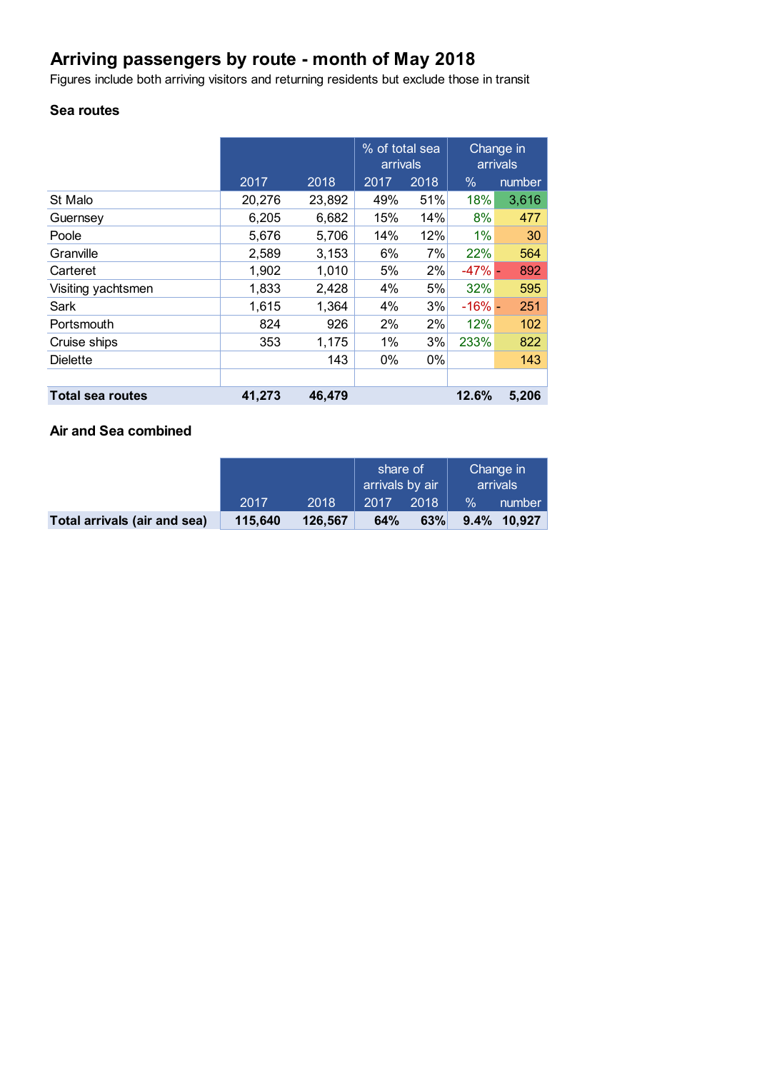# **Arriving passengers by route - month of May 2018**

Figures include both arriving visitors and returning residents but exclude those in transit

## **Sea routes**

|                         |        |        | % of total sea<br>arrivals |      | Change in<br>arrivals |        |
|-------------------------|--------|--------|----------------------------|------|-----------------------|--------|
|                         | 2017   | 2018   | 2017                       | 2018 | $\%$                  | number |
| St Malo                 | 20,276 | 23,892 | 49%                        | 51%  | 18%                   | 3,616  |
| Guernsey                | 6,205  | 6,682  | 15%                        | 14%  | 8%                    | 477    |
| Poole                   | 5,676  | 5,706  | 14%                        | 12%  | $1\%$                 | 30     |
| Granville               | 2,589  | 3,153  | 6%                         | 7%   | 22%                   | 564    |
| Carteret                | 1,902  | 1,010  | 5%                         | 2%   | $-47%$ -              | 892    |
| Visiting yachtsmen      | 1,833  | 2,428  | 4%                         | 5%   | 32%                   | 595    |
| Sark                    | 1,615  | 1,364  | 4%                         | 3%   | $-16%$                | 251    |
| Portsmouth              | 824    | 926    | 2%                         | 2%   | 12%                   | 102    |
| Cruise ships            | 353    | 1,175  | 1%                         | 3%   | 233%                  | 822    |
| <b>Dielette</b>         |        | 143    | 0%                         | 0%   |                       | 143    |
|                         |        |        |                            |      |                       |        |
| <b>Total sea routes</b> | 41,273 | 46,479 |                            |      | 12.6%                 | 5,206  |

### **Air and Sea combined**

|                              |         |         | share of<br>arrivals by air |      | Change in<br>arrivals |             |
|------------------------------|---------|---------|-----------------------------|------|-----------------------|-------------|
|                              | 2017    | 2018    | 2017                        | 2018 | $\%$                  | number      |
| Total arrivals (air and sea) | 115,640 | 126.567 | 64%                         | 63%  |                       | 9.4% 10.927 |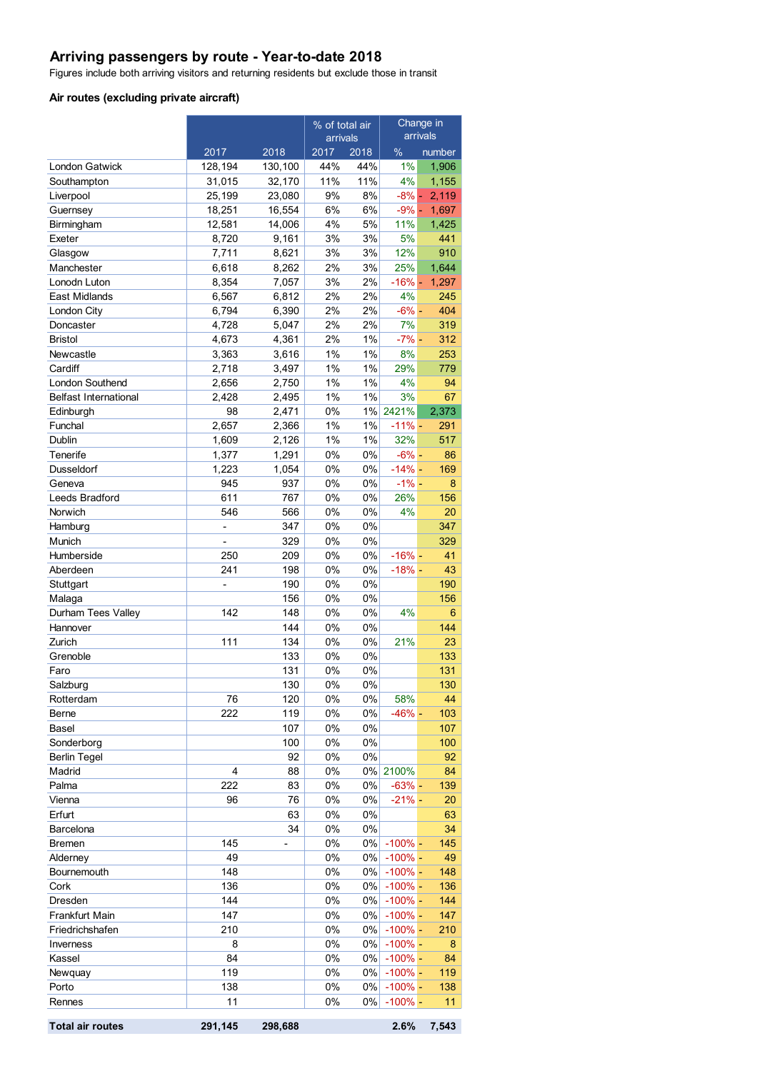# **Arriving passengers by route - Year-to-date 2018**

Figures include both arriving visitors and returning residents but exclude those in transit

#### **Air routes (excluding private aircraft)**

|                              |                  |                          | % of total air |             | Change in<br>arrivals |                |
|------------------------------|------------------|--------------------------|----------------|-------------|-----------------------|----------------|
|                              |                  |                          | arrivals       |             |                       |                |
|                              | 2017             | 2018                     | 2017           | 2018        | %                     | number         |
| London Gatwick               | 128,194          | 130,100                  | 44%            | 44%         | 1%                    | 1,906          |
| Southampton                  | 31,015           | 32,170                   | 11%<br>9%      | 11%         | 4%                    | 1,155          |
| Liverpool<br>Guernsey        | 25,199<br>18,251 | 23,080<br>16,554         | 6%             | 8%<br>6%    | $-8\%$ -<br>$-9\%$ -  | 2,119<br>1,697 |
| Birmingham                   | 12,581           | 14,006                   | 4%             | 5%          | 11%                   | 1,425          |
| Exeter                       | 8,720            | 9,161                    | 3%             | 3%          | 5%                    | 441            |
| Glasgow                      | 7,711            | 8,621                    | 3%             | 3%          | 12%                   | 910            |
| Manchester                   | 6,618            | 8,262                    | 2%             | 3%          | 25%                   | 1,644          |
| Lonodn Luton                 | 8,354            | 7,057                    | 3%             | 2%          | $-16% -$              | 1,297          |
| East Midlands                | 6,567            | 6,812                    | 2%             | 2%          | 4%                    | 245            |
| London City                  | 6,794            | 6,390                    | 2%             | 2%          | $-6% -$               | 404            |
| Doncaster                    | 4,728            | 5,047                    | 2%             | 2%          | 7%                    | 319            |
| Bristol                      | 4,673            | 4,361                    | 2%             | $1\%$       | $-7% -$               | 312            |
| Newcastle                    | 3,363            | 3,616                    | 1%             | $1\%$       | 8%                    | 253            |
| Cardiff                      | 2,718            | 3,497                    | 1%             | $1\%$       | 29%                   | 779            |
| London Southend              | 2,656            | 2,750                    | 1%             | $1\%$       | 4%                    | 94             |
| <b>Belfast International</b> | 2,428            | 2,495                    | 1%             | $1\%$       | 3%                    | 67             |
| Edinburgh                    | 98               | 2,471                    | 0%             |             | 1% 2421%              | 2,373          |
| Funchal                      | 2,657            | 2,366                    | 1%             | $1\%$       | $-11% -$              | 291            |
| Dublin                       | 1,609            | 2,126                    | 1%             | $1\%$       | 32%                   | 517            |
| Tenerife                     | 1,377            | 1,291                    | 0%             | $0\%$       | $-6% -$               | 86             |
| Dusseldorf                   | 1,223            | 1,054                    | 0%             | 0%          | $-14% -$              | 169            |
| Geneva                       | 945              | 937                      | 0%             | $0\%$       | $-1\%$ -              | 8              |
| Leeds Bradford               | 611              | 767                      | 0%             | 0%          | 26%                   | 156            |
| Norwich                      | 546              | 566                      | 0%             | 0%          | 4%                    | 20             |
| Hamburg                      |                  | 347                      | 0%             | 0%          |                       | 347            |
| Munich                       | $\overline{a}$   | 329                      | 0%             | $0\%$       |                       | 329            |
| Humberside                   | 250              | 209                      | 0%             | $0\%$       | $-16% -$              | 41             |
| Aberdeen                     | 241              | 198                      | 0%             | 0%          | $-18%$ -              | 43             |
| Stuttgart                    |                  | 190                      | 0%             | 0%          |                       | 190            |
| Malaga                       |                  | 156                      | 0%             | 0%          |                       | 156            |
| Durham Tees Valley           | 142              | 148                      | 0%             | 0%          | 4%                    | 6              |
| Hannover                     |                  | 144                      | 0%             | 0%          |                       | 144            |
| Zurich                       | 111              | 134                      | 0%             | $0\%$       | 21%                   | 23             |
| Grenoble                     |                  | 133                      | 0%             | 0%          |                       | 133            |
| Faro                         |                  | 131<br>130               | 0%<br>0%       | 0%<br>$0\%$ |                       | 131<br>130     |
| Salzburg                     | 76               | 120                      | 0%             | 0%          | 58%                   | 44             |
| Rotterdam<br>Berne           | 222              | 119                      | 0%             | 0%          | $-46% -$              | 103            |
| Basel                        |                  | 107                      | 0%             | 0%          |                       | 107            |
| Sonderborg                   |                  | 100                      | 0%             | 0%          |                       | 100            |
| <b>Berlin Tegel</b>          |                  | 92                       | 0%             | $0\%$       |                       | 92             |
| Madrid                       | 4                | 88                       | 0%             |             | 0% 2100%              | 84             |
| Palma                        | 222              | 83                       | 0%             | $0\%$       | $-63%$ -              | 139            |
| Vienna                       | 96               | 76                       | 0%             | 0%          | $-21% -$              | 20             |
| Erfurt                       |                  | 63                       | 0%             | 0%          |                       | 63             |
| Barcelona                    |                  | 34                       | 0%             | 0%          |                       | 34             |
| Bremen                       | 145              | $\overline{\phantom{0}}$ | 0%             | $0\%$       | $-100\%$ -            | 145            |
| Alderney                     | 49               |                          | 0%             | $0\%$       | $-100\%$ -            | 49             |
| Bournemouth                  | 148              |                          | 0%             | $0\%$       | $-100\%$ -            | 148            |
| Cork                         | 136              |                          | 0%             | $0\%$       | $-100\%$ -            | 136            |
| Dresden                      | 144              |                          | 0%             | $0\%$       | $-100\%$ -            | 144            |
| Frankfurt Main               | 147              |                          | 0%             | $0\%$       | $-100\%$ -            | 147            |
| Friedrichshafen              | 210              |                          | 0%             | $0\%$       | $-100\%$ -            | 210            |
| Inverness                    | 8                |                          | 0%             | $0\%$       | $-100\%$ -            | 8              |
| Kassel                       | 84               |                          | 0%             | $0\%$       | $-100\%$ -            | 84             |
| Newquay                      | 119              |                          | 0%             | $0\%$       | $-100\%$ -            | 119            |
| Porto                        | 138              |                          | $0\%$          | $0\%$       | $-100\%$ -            | 138            |
| Rennes                       | 11               |                          | 0%             | 0%          | $-100\%$ -            | 11             |
| <b>Total air routes</b>      | 291,145          | 298,688                  |                |             | 2.6%                  | 7,543          |